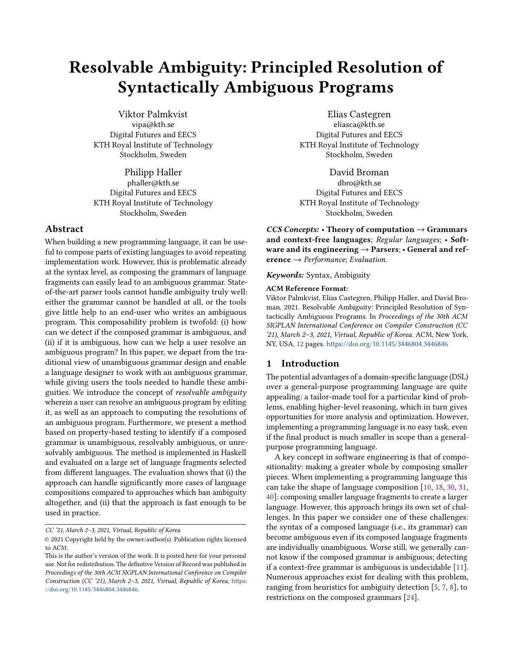# Resolvable Ambiguity: Principled Resolution of Syntactically Ambiguous Programs

Viktor Palmkvist vipa@kth.se Digital Futures and EECS KTH Royal Institute of Technology Stockholm, Sweden

Philipp Haller phaller@kth.se Digital Futures and EECS KTH Royal Institute of Technology Stockholm, Sweden

## Abstract

When building a new programming language, it can be useful to compose parts of existing languages to avoid repeating implementation work. However, this is problematic already at the syntax level, as composing the grammars of language fragments can easily lead to an ambiguous grammar. Stateof-the-art parser tools cannot handle ambiguity truly well: either the grammar cannot be handled at all, or the tools give little help to an end-user who writes an ambiguous program. This composability problem is twofold: (i) how can we detect if the composed grammar is ambiguous, and (ii) if it is ambiguous, how can we help a user resolve an ambiguous program? In this paper, we depart from the traditional view of unambiguous grammar design and enable a language designer to work with an ambiguous grammar, while giving users the tools needed to handle these ambiguities. We introduce the concept of resolvable ambiguity wherein a user can resolve an ambiguous program by editing it, as well as an approach to computing the resolutions of an ambiguous program. Furthermore, we present a method based on property-based testing to identify if a composed grammar is unambiguous, resolvably ambiguous, or unresolvably ambiguous. The method is implemented in Haskell and evaluated on a large set of language fragments selected from different languages. The evaluation shows that (i) the approach can handle significantly more cases of language compositions compared to approaches which ban ambiguity altogether, and (ii) that the approach is fast enough to be used in practice.

CC '21, March 2–3, 2021, Virtual, Republic of Korea

Elias Castegren eliasca@kth.se Digital Futures and EECS KTH Royal Institute of Technology Stockholm, Sweden

David Broman dbro@kth.se Digital Futures and EECS KTH Royal Institute of Technology Stockholm, Sweden

 $CCS$  Concepts: • Theory of computation  $\rightarrow$  Grammars and context-free languages; Regular languages; • Software and its engineering  $\rightarrow$  Parsers;  $\cdot$  General and reference  $\rightarrow$  Performance; Evaluation.

Keywords: Syntax, Ambiguity

#### ACM Reference Format:

Viktor Palmkvist, Elias Castegren, Philipp Haller, and David Broman. 2021. Resolvable Ambiguity: Principled Resolution of Syntactically Ambiguous Programs. In Proceedings of the 30th ACM SIGPLAN International Conference on Compiler Construction (CC '21), March 2–3, 2021, Virtual, Republic of Korea. ACM, New York, NY, USA, [12](#page-11-0) pages. <https://doi.org/10.1145/3446804.3446846>

## <span id="page-0-0"></span>1 Introduction

The potential advantages of a domain-specific language (DSL) over a general-purpose programming language are quite appealing: a tailor-made tool for a particular kind of problems, enabling higher-level reasoning, which in turn gives opportunities for more analysis and optimization. However, implementing a programming language is no easy task, even if the final product is much smaller in scope than a generalpurpose programming language.

A key concept in software engineering is that of compositionality: making a greater whole by composing smaller pieces. When implementing a programming language this can take the shape of language composition [\[10,](#page-10-0) [18,](#page-10-1) [30,](#page-10-2) [31,](#page-10-3) [40\]](#page-11-1): composing smaller language fragments to create a larger language. However, this approach brings its own set of challenges. In this paper we consider one of these challenges: the syntax of a composed language (i.e., its grammar) can become ambiguous even if its composed language fragments are individually unambiguous. Worse still, we generally cannot know if the composed grammar is ambiguous; detecting if a context-free grammar is ambiguous is undecidable [\[11\]](#page-10-4). Numerous approaches exist for dealing with this problem, ranging from heuristics for ambiguity detection [\[5,](#page-10-5) [7,](#page-10-6) [8\]](#page-10-7), to restrictions on the composed grammars [\[24\]](#page-10-8).

<sup>©</sup> 2021 Copyright held by the owner/author(s). Publication rights licensed to ACM.

This is the author's version of the work. It is posted here for your personal use. Not for redistribution. The definitive Version of Record was published in Proceedings of the 30th ACM SIGPLAN International Conference on Compiler Construction (CC '21), March 2–3, 2021, Virtual, Republic of Korea, [https:](https://doi.org/10.1145/3446804.3446846) [//doi.org/10.1145/3446804.3446846](https://doi.org/10.1145/3446804.3446846).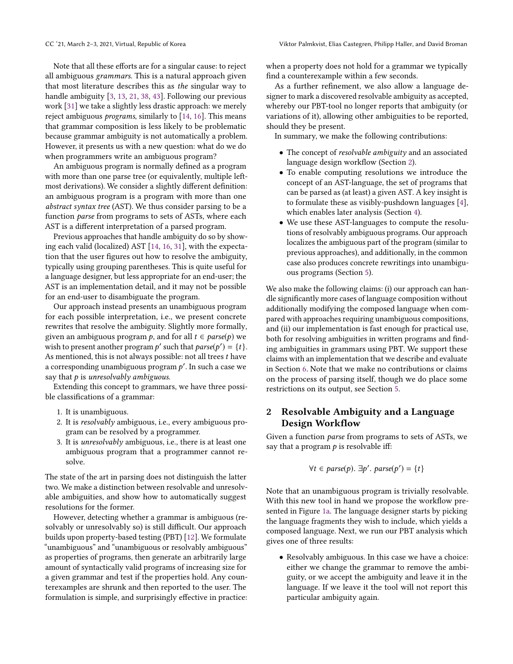Note that all these efforts are for a singular cause: to reject all ambiguous grammars. This is a natural approach given that most literature describes this as the singular way to handle ambiguity [\[3,](#page-10-9) [13,](#page-10-10) [21,](#page-10-11) [38,](#page-11-2) [43\]](#page-11-3). Following our previous work [\[31\]](#page-10-3) we take a slightly less drastic approach: we merely reject ambiguous programs, similarly to [\[14,](#page-10-12) [16\]](#page-10-13). This means that grammar composition is less likely to be problematic because grammar ambiguity is not automatically a problem. However, it presents us with a new question: what do we do when programmers write an ambiguous program?

An ambiguous program is normally defined as a program with more than one parse tree (or equivalently, multiple leftmost derivations). We consider a slightly different definition: an ambiguous program is a program with more than one abstract syntax tree (AST). We thus consider parsing to be a function parse from programs to sets of ASTs, where each AST is a different interpretation of a parsed program.

Previous approaches that handle ambiguity do so by showing each valid (localized) AST [\[14,](#page-10-12) [16,](#page-10-13) [31\]](#page-10-3), with the expectation that the user figures out how to resolve the ambiguity, typically using grouping parentheses. This is quite useful for a language designer, but less appropriate for an end-user; the AST is an implementation detail, and it may not be possible for an end-user to disambiguate the program.

Our approach instead presents an unambiguous program for each possible interpretation, i.e., we present concrete rewrites that resolve the ambiguity. Slightly more formally, given an ambiguous program p, and for all  $t \in parse(p)$  we wish to present another program p' such that  $parse(p') = \{t\}$ .<br>As mentioned, this is not always possible; not all trees t have As mentioned, this is not always possible: not all trees  $t$  have a corresponding unambiguous program  $p'$ . In such a case we<br>say that **p** is *unresolvably ambiguous* say that  $p$  is unresolvably ambiguous.

Extending this concept to grammars, we have three possible classifications of a grammar:

- 1. It is unambiguous.
- 2. It is resolvably ambiguous, i.e., every ambiguous program can be resolved by a programmer.
- 3. It is unresolvably ambiguous, i.e., there is at least one ambiguous program that a programmer cannot resolve.

The state of the art in parsing does not distinguish the latter two. We make a distinction between resolvable and unresolvable ambiguities, and show how to automatically suggest resolutions for the former.

However, detecting whether a grammar is ambiguous (resolvably or unresolvably so) is still difficult. Our approach builds upon property-based testing (PBT) [\[12\]](#page-10-14). We formulate "unambiguous" and "unambiguous or resolvably ambiguous" as properties of programs, then generate an arbitrarily large amount of syntactically valid programs of increasing size for a given grammar and test if the properties hold. Any counterexamples are shrunk and then reported to the user. The formulation is simple, and surprisingly effective in practice: when a property does not hold for a grammar we typically find a counterexample within a few seconds.

As a further refinement, we also allow a language designer to mark a discovered resolvable ambiguity as accepted, whereby our PBT-tool no longer reports that ambiguity (or variations of it), allowing other ambiguities to be reported, should they be present.

In summary, we make the following contributions:

- The concept of resolvable ambiguity and an associated language design workflow (Section [2\)](#page-1-0).
- To enable computing resolutions we introduce the concept of an AST-language, the set of programs that can be parsed as (at least) a given AST. A key insight is to formulate these as visibly-pushdown languages [\[4\]](#page-10-15), which enables later analysis (Section [4\)](#page-4-0).
- We use these AST-languages to compute the resolutions of resolvably ambiguous programs. Our approach localizes the ambiguous part of the program (similar to previous approaches), and additionally, in the common case also produces concrete rewritings into unambiguous programs (Section [5\)](#page-5-0).

We also make the following claims: (i) our approach can handle significantly more cases of language composition without additionally modifying the composed language when compared with approaches requiring unambiguous compositions, and (ii) our implementation is fast enough for practical use, both for resolving ambiguities in written programs and finding ambiguities in grammars using PBT. We support these claims with an implementation that we describe and evaluate in Section [6.](#page-6-0) Note that we make no contributions or claims on the process of parsing itself, though we do place some restrictions on its output, see Section [5.](#page-5-0)

# <span id="page-1-0"></span>2 Resolvable Ambiguity and a Language Design Workflow

Given a function parse from programs to sets of ASTs, we say that a program  $p$  is resolvable iff:

$$
\forall t \in parse(p). \exists p'. \text{ parse}(p') = \{t\}
$$

Note that an unambiguous program is trivially resolvable. With this new tool in hand we propose the workflow presented in Figure [1a.](#page-2-0) The language designer starts by picking the language fragments they wish to include, which yields a composed language. Next, we run our PBT analysis which gives one of three results:

• Resolvably ambiguous. In this case we have a choice: either we change the grammar to remove the ambiguity, or we accept the ambiguity and leave it in the language. If we leave it the tool will not report this particular ambiguity again.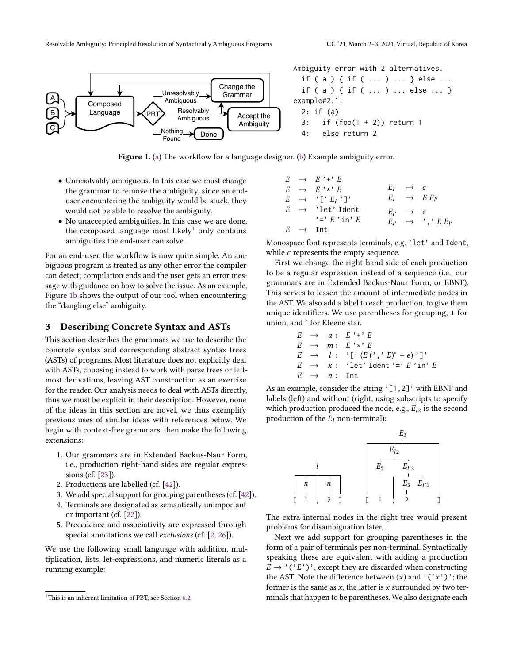<span id="page-2-0"></span>

Figure 1. [\(a\)](#page-2-0) The workflow for a language designer. [\(b\)](#page-2-1) Example ambiguity error.

- Unresolvably ambiguous. In this case we must change the grammar to remove the ambiguity, since an enduser encountering the ambiguity would be stuck, they would not be able to resolve the ambiguity.
- No unaccepted ambiguities. In this case we are done, the composed language most likely<sup>[1](#page-2-2)</sup> only contains ambiguities the end-user can solve.

For an end-user, the workflow is now quite simple. An ambiguous program is treated as any other error the compiler can detect; compilation ends and the user gets an error message with guidance on how to solve the issue. As an example, Figure [1b](#page-2-1) shows the output of our tool when encountering the "dangling else" ambiguity.

## 3 Describing Concrete Syntax and ASTs

This section describes the grammars we use to describe the concrete syntax and corresponding abstract syntax trees (ASTs) of programs. Most literature does not explicitly deal with ASTs, choosing instead to work with parse trees or leftmost derivations, leaving AST construction as an exercise for the reader. Our analysis needs to deal with ASTs directly, thus we must be explicit in their description. However, none of the ideas in this section are novel, we thus exemplify previous uses of similar ideas with references below. We begin with context-free grammars, then make the following extensions:

- 1. Our grammars are in Extended Backus-Naur Form, i.e., production right-hand sides are regular expressions (cf. [\[23\]](#page-10-16)).
- 2. Productions are labelled (cf. [\[42\]](#page-11-4)).
- 3. We add special support for grouping parentheses (cf. [\[42\]](#page-11-4)).
- 4. Terminals are designated as semantically unimportant or important (cf. [\[22\]](#page-10-17)).
- 5. Precedence and associativity are expressed through special annotations we call exclusions (cf. [\[2,](#page-10-18) [26\]](#page-10-19)).

We use the following small language with addition, multiplication, lists, let-expressions, and numeric literals as a running example:

<span id="page-2-1"></span>
$$
E \rightarrow E' * E
$$
  
\n
$$
E \rightarrow E' * E
$$
  
\n
$$
E \rightarrow '[E' E']'
$$
  
\n
$$
E \rightarrow 'let' Ident
$$
  
\n
$$
E \rightarrow 'let' Ident
$$
  
\n
$$
E \rightarrow 'let' Ident
$$
  
\n
$$
E \rightarrow E' \in 'E'
$$
  
\n
$$
E \rightarrow \text{Int}
$$
  
\n
$$
E \rightarrow \text{Int}
$$
  
\n
$$
E \rightarrow \text{Int}
$$
  
\n
$$
E \rightarrow \text{Int}
$$

′

Monospace font represents terminals, e.g. 'let' and Ident, while  $\epsilon$  represents the empty sequence.

First we change the right-hand side of each production to be a regular expression instead of a sequence (i.e., our grammars are in Extended Backus-Naur Form, or EBNF). This serves to lessen the amount of intermediate nodes in the AST. We also add a label to each production, to give them unique identifiers. We use parentheses for grouping, + for union, and <sup>∗</sup> for Kleene star.

$$
E \rightarrow a: E' + E
$$
  
\n
$$
E \rightarrow m: E' * E
$$
  
\n
$$
E \rightarrow l: [C(E(\cdot, E) * + \epsilon)']'
$$
  
\n
$$
E \rightarrow x: [C(E \cdot E) * + \epsilon)']'
$$
  
\n
$$
E \rightarrow n: Int
$$
  
\n
$$
E \rightarrow n: [C(E \cdot E) * (C(E \cdot E))] \rightarrow E
$$

As an example, consider the string '[1,2]' with EBNF and labels (left) and without (right, using subscripts to specify which production produced the node, e.g.,  $E_{l2}$  is the second production of the  $E_l$  non-terminal):



The extra internal nodes in the right tree would present problems for disambiguation later.

Next we add support for grouping parentheses in the form of a pair of terminals per non-terminal. Syntactically speaking these are equivalent with adding a production  $E \rightarrow '('E')'$ , except they are discarded when constructing the AST. Note the difference between  $(x)$  and  $'(x')$ ; the former is the same as  $x$ , the latter is  $x$  surrounded by two terminals that happen to be parentheses. We also designate each

Ambiguity error with 2 alternatives.

<span id="page-2-2"></span> $1$ This is an inherent limitation of PBT, see Section [6.2.](#page-7-0)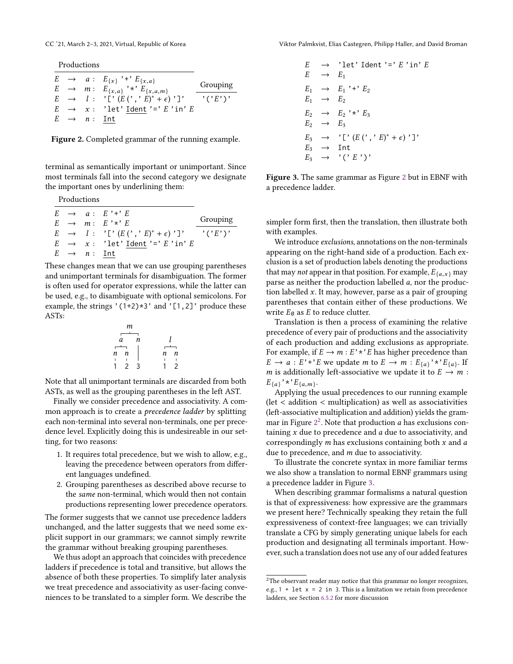<span id="page-3-0"></span>Productions

|  |                         | $E \rightarrow a : E_{\{x\}}' + E_{\{x,a\}}$              | Grouping                                  |
|--|-------------------------|-----------------------------------------------------------|-------------------------------------------|
|  |                         | $E \rightarrow m: E_{\{x,a\}}$ '*' $E_{\{x,a,m\}}$        |                                           |
|  |                         | $E \rightarrow l : '[\cdot (E(\cdot, E)^* + \epsilon)']'$ | $\prime$ ( $\prime$ E $\prime$ ) $\prime$ |
|  |                         | $E \rightarrow x : 'let'$ Ident '=' E 'in' E              |                                           |
|  | $E \rightarrow n$ : Int |                                                           |                                           |
|  |                         |                                                           |                                           |

Figure 2. Completed grammar of the running example.

terminal as semantically important or unimportant. Since most terminals fall into the second category we designate the important ones by underlining them:

Productions

|  |                         | $E \rightarrow a : E' + E$                                    |          |
|--|-------------------------|---------------------------------------------------------------|----------|
|  |                         | $E \rightarrow m: E' * E$                                     | Grouping |
|  |                         | $E \rightarrow l : '[\; (E(\;', 'E)^* + \epsilon)']'$ '('E')' |          |
|  |                         | $E \rightarrow x : 'let'$ Ident '=' E 'in' E                  |          |
|  | $E \rightarrow n$ : Int |                                                               |          |
|  |                         | These changes mean that we can use grouping parentheses       |          |

and unimportant terminals for disambiguation. The former is often used for operator expressions, while the latter can be used, e.g., to disambiguate with optional semicolons. For example, the strings  $'(1+2)*3'$  and  $'[1,2]'$  produce these ASTs:

$$
\begin{array}{c|cc}\nm\\
 & n & \\
\hline\nn & n & \\
1 & 2 & 3 & \\
1 & 2 & 3 & \\
\end{array}\n\qquad\n\begin{array}{c|cc}\n & & & & \\
 & & & & \\
n & & & & \\
n & & & & \\
n & & & & \\
1 & 2 & 3 & \\
1 & 2 & 3 & \\
\end{array}
$$

Note that all unimportant terminals are discarded from both ASTs, as well as the grouping parentheses in the left AST.

Finally we consider precedence and associativity. A common approach is to create a precedence ladder by splitting each non-terminal into several non-terminals, one per precedence level. Explicitly doing this is undesireable in our setting, for two reasons:

- 1. It requires total precedence, but we wish to allow, e.g., leaving the precedence between operators from different languages undefined.
- 2. Grouping parentheses as described above recurse to the same non-terminal, which would then not contain productions representing lower precedence operators.

The former suggests that we cannot use precedence ladders unchanged, and the latter suggests that we need some explicit support in our grammars; we cannot simply rewrite the grammar without breaking grouping parentheses.

We thus adopt an approach that coincides with precedence ladders if precedence is total and transitive, but allows the absence of both these properties. To simplify later analysis we treat precedence and associativity as user-facing conveniences to be translated to a simpler form. We describe the

<span id="page-3-2"></span>
$$
E \rightarrow 'let' Ident '=' E'in' E
$$
  
\n
$$
E \rightarrow E_1
$$
  
\n
$$
E_1 \rightarrow E_1' 'E_2
$$
  
\n
$$
E_1 \rightarrow E_2
$$
  
\n
$$
E_2 \rightarrow E_2' ' * ' E_3
$$
  
\n
$$
E_2 \rightarrow E_3
$$
  
\n
$$
E_3 \rightarrow '[ (E (' , ' E)^* + \epsilon) ' ]'
$$
  
\n
$$
E_3 \rightarrow Int
$$
  
\n
$$
E_3 \rightarrow ' (' E')'
$$

Figure 3. The same grammar as Figure [2](#page-3-0) but in EBNF with a precedence ladder.

simpler form first, then the translation, then illustrate both with examples.

We introduce exclusions, annotations on the non-terminals appearing on the right-hand side of a production. Each exclusion is a set of production labels denoting the productions that may not appear in that position. For example,  $E_{\{a,x\}}$  may parse as neither the production labelled *a*, nor the production labelled  $x$ . It may, however, parse as a pair of grouping parentheses that contain either of these productions. We write  $E_{\emptyset}$  as E to reduce clutter.

Translation is then a process of examining the relative precedence of every pair of productions and the associativity of each production and adding exclusions as appropriate. For example, if  $E \to m : E' *'E$  has higher precedence than  $E \to a : E' + E$  we update m to  $E \to m : E_{\{a\}}' * E_{\{a\}}$ . If  $m$  is additionally left-associative we update it to  $E \to m$ . *m* is additionally left-associative we update it to  $E \rightarrow m$ :  $E_{\{a\}}'$ \*' $E_{\{a,m\}}$ .<br>Applying the

Applying the usual precedences to our running example (let < addition < multiplication) as well as associativities (left-associative multiplication and addition) yields the grammar in Figure  $2^2$  $2^2$ . Note that production *a* has exclusions containing  $x$  due to precedence and *a* due to associativity and taining  $x$  due to precedence and  $a$  due to associativity, and correspondingly  $m$  has exclusions containing both  $x$  and  $a$ due to precedence, and  $m$  due to associativity.

To illustrate the concrete syntax in more familiar terms we also show a translation to normal EBNF grammars using a precedence ladder in Figure [3.](#page-3-2)

When describing grammar formalisms a natural question is that of expressiveness: how expressive are the grammars we present here? Technically speaking they retain the full expressiveness of context-free languages; we can trivially translate a CFG by simply generating unique labels for each production and designating all terminals important. However, such a translation does not use any of our added features

<span id="page-3-1"></span> ${\rm ^2The}$  observant reader may notice that this grammar no longer recognizes, e.g.,  $1 + \text{let } x = 2 \text{ in } 3$ . This is a limitation we retain from precedence ladders, see Section [6.5.2](#page-9-0) for more discussion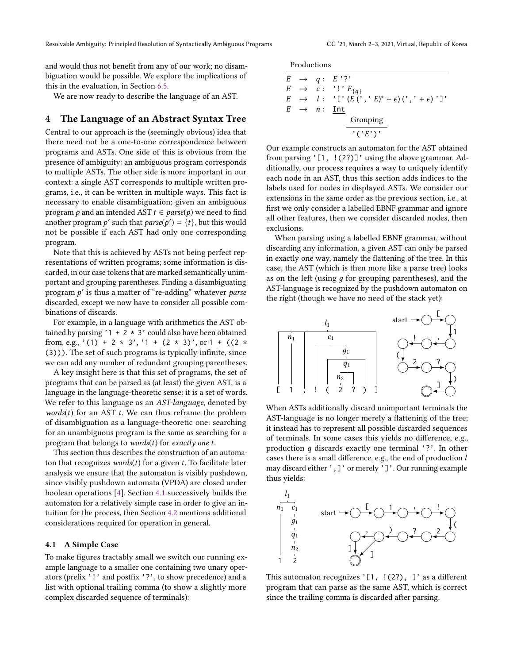and would thus not benefit from any of our work; no disambiguation would be possible. We explore the implications of this in the evaluation, in Section [6.5.](#page-8-0)

We are now ready to describe the language of an AST.

#### <span id="page-4-0"></span>4 The Language of an Abstract Syntax Tree

Central to our approach is the (seemingly obvious) idea that there need not be a one-to-one correspondence between programs and ASTs. One side of this is obvious from the presence of ambiguity: an ambiguous program corresponds to multiple ASTs. The other side is more important in our context: a single AST corresponds to multiple written programs, i.e., it can be written in multiple ways. This fact is necessary to enable disambiguation; given an ambiguous program p and an intended AST  $t \in parse(p)$  we need to find another program p' such that  $parse(p') = \{t\}$ , but this would<br>not be possible if each AST had only one corresponding not be possible if each AST had only one corresponding program.

Note that this is achieved by ASTs not being perfect representations of written programs; some information is discarded, in our case tokens that are marked semantically unimportant and grouping parentheses. Finding a disambiguating program  $p'$  is thus a matter of "re-adding" whatever *parse*<br>discarded except we now have to consider all possible comdiscarded, except we now have to consider all possible combinations of discards.

For example, in a language with arithmetics the AST obtained by parsing '1 + 2  $*$  3' could also have been obtained from, e.g., '(1) + 2  $\star$  3', '1 + (2  $\star$  3)', or 1 + ((2  $\star$ (3))). The set of such programs is typically infinite, since we can add any number of redundant grouping parentheses.

A key insight here is that this set of programs, the set of programs that can be parsed as (at least) the given AST, is a language in the language-theoretic sense: it is a set of words. We refer to this language as an AST-language, denoted by  $words(t)$  for an AST  $t$ . We can thus reframe the problem of disambiguation as a language-theoretic one: searching for an unambiguous program is the same as searching for a program that belongs to words $(t)$  for exactly one t.

This section thus describes the construction of an automaton that recognizes words $(t)$  for a given t. To facilitate later analysis we ensure that the automaton is visibly pushdown, since visibly pushdown automata (VPDA) are closed under boolean operations [\[4\]](#page-10-15). Section [4.1](#page-4-1) successively builds the automaton for a relatively simple case in order to give an intuition for the process, then Section [4.2](#page-5-1) mentions additional considerations required for operation in general.

#### <span id="page-4-1"></span>4.1 A Simple Case

To make figures tractably small we switch our running example language to a smaller one containing two unary operators (prefix '!' and postfix '?', to show precedence) and a list with optional trailing comma (to show a slightly more complex discarded sequence of terminals):

| Productions |
|-------------|
|             |

|  | $E \rightarrow q: E'$ ?                                                        |
|--|--------------------------------------------------------------------------------|
|  | $E \rightarrow c : '!' E_{\{q\}}$                                              |
|  | $E \rightarrow l : '[\; (E(\;', \; E)^* + \epsilon) (\;', \; ' + \epsilon)']'$ |
|  | $E$ $\;\rightarrow$ $\;n:$ Int                                                 |
|  | Grouping                                                                       |
|  | $^{\prime}$ ('E')'                                                             |
|  |                                                                                |

Our example constructs an automaton for the AST obtained from parsing '[1, !(2?)]' using the above grammar. Additionally, our process requires a way to uniquely identify each node in an AST, thus this section adds indices to the labels used for nodes in displayed ASTs. We consider our extensions in the same order as the previous section, i.e., at first we only consider a labelled EBNF grammar and ignore all other features, then we consider discarded nodes, then exclusions.

When parsing using a labelled EBNF grammar, without discarding any information, a given AST can only be parsed in exactly one way, namely the flattening of the tree. In this case, the AST (which is then more like a parse tree) looks as on the left (using  $q$  for grouping parentheses), and the AST-language is recognized by the pushdown automaton on the right (though we have no need of the stack yet):



When ASTs additionally discard unimportant terminals the AST-language is no longer merely a flattening of the tree; it instead has to represent all possible discarded sequences of terminals. In some cases this yields no difference, e.g., production q discards exactly one terminal '?'. In other cases there is a small difference, e.g., the end of production l may discard either ',]' or merely ']'. Our running example thus yields:



This automaton recognizes ' $[1, !(2?)$ ,  $]$ ' as a different program that can parse as the same AST, which is correct since the trailing comma is discarded after parsing.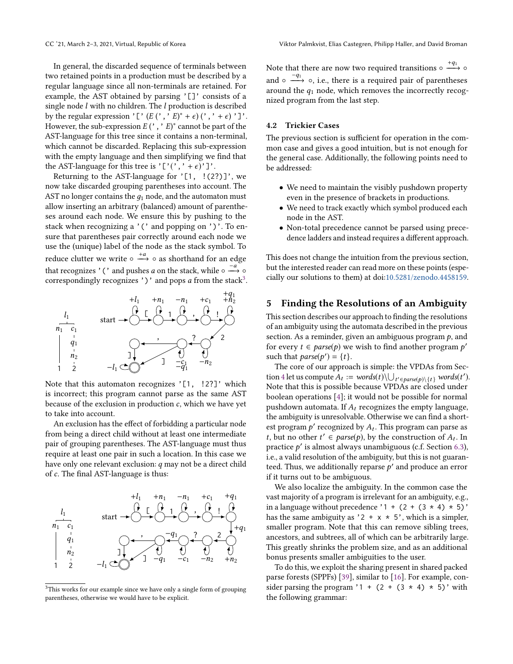In general, the discarded sequence of terminals between two retained points in a production must be described by a regular language since all non-terminals are retained. For example, the AST obtained by parsing '[]' consists of a single node  $l$  with no children. The  $l$  production is described by the regular expression '['  $(E(', 'E)^* + \epsilon)'', 'F'$ .<br>However the sub-expression  $E(', 'E)^*$  cannot be part of the However, the sub-expression  $E(', 'E)^*$  cannot be part of the AST-language for this tree since it contains a non-terminal AST-language for this tree since it contains a non-terminal, which cannot be discarded. Replacing this sub-expression with the empty language and then simplifying we find that the AST-language for this tree is '['(',' +  $\epsilon$ )']'.

Returning to the AST-language for  $'[1, (2?)]$ ', we now take discarded grouping parentheses into account. The AST no longer contains the  $q_1$  node, and the automaton must allow inserting an arbitrary (balanced) amount of parentheses around each node. We ensure this by pushing to the stack when recognizing a '(' and popping on ')'. To ensure that parentheses pair correctly around each node we use the (unique) label of the node as the stack symbol. To reduce clutter we write ∘  $\stackrel{+a}{\longrightarrow}$  ∘ as shorthand for an edge that recognizes '(' and pushes a on the stack, while  $\circ \frac{-a}{\rightarrow} \circ$  or correspondingly recognizes ')' and pops a from the stack<sup>3</sup> correspondingly recognizes ')' and pops  $a$  from the stack<sup>[3](#page-5-2)</sup>.



Note that this automaton recognizes '[1, !2?]' which is incorrect; this program cannot parse as the same AST because of the exclusion in production  $c$ , which we have yet to take into account.

An exclusion has the effect of forbidding a particular node from being a direct child without at least one intermediate pair of grouping parentheses. The AST-language must thus require at least one pair in such a location. In this case we have only one relevant exclusion: q may not be a direct child of c. The final AST-language is thus:



<span id="page-5-2"></span><sup>&</sup>lt;sup>3</sup>This works for our example since we have only a single form of grouping parentheses, otherwise we would have to be explicit.

Note that there are now two required transitions  $\circ \xrightarrow{+q_1} \circ$ and  $\circ \xrightarrow{-q_1} \circ$ , i.e., there is a required pair of parentheses around the  $q_1$  node, which removes the incorrectly recognized program from the last step.

#### <span id="page-5-1"></span>4.2 Trickier Cases

The previous section is sufficient for operation in the common case and gives a good intuition, but is not enough for the general case. Additionally, the following points need to be addressed:

- We need to maintain the visibly pushdown property even in the presence of brackets in productions.
- We need to track exactly which symbol produced each node in the AST.
- Non-total precedence cannot be parsed using precedence ladders and instead requires a different approach.

This does not change the intuition from the previous section, but the interested reader can read more on these points (especially our solutions to them) at doi[:10.5281/zenodo.4458159.](https://doi.org/10.5281/zenodo.4458159)

## <span id="page-5-0"></span>5 Finding the Resolutions of an Ambiguity

This section describes our approach to finding the resolutions of an ambiguity using the automata described in the previous section. As a reminder, given an ambiguous program  $p$ , and for every  $t \in parse(p)$  we wish to find another program  $p'$ <br>such that  $pare(h') = ft$ such that  $parse(p') = \{t\}.$ <br>The core of our approach

The core of our approach is simple: the VPDAs from Sec-tion [4](#page-4-0) let us compute  $A_t := \text{words}(t) \cup_{t' \in \text{parse}(p) \setminus \{t\}} \text{words}(t').$ <br>Note that this is possible because VPDAs are closed under Note that this is possible because VPDAs are closed under boolean operations [\[4\]](#page-10-15); it would not be possible for normal pushdown automata. If  $A_t$  recognizes the empty language, the ambiguity is unresolvable. Otherwise we can find a shortest program p' recognized by  $A_t$ . This program can parse as <br>t but no other  $t' \in \text{base}(t)$  by the construction of A. In t, but no other  $t' \in parse(p)$ , by the construction of  $A_t$ . In practice  $p'$  is almost always unambiguous (c f. Section 6.3) practice p' is almost always unambiguous (c.f. Section [6.3\)](#page-7-1),<br>i.e., a valid resolution of the ambiguity, but this is not guarant i.e., a valid resolution of the ambiguity, but this is not guaranteed. Thus, we additionally reparse  $p'$  and produce an error<br>if it turns out to be ambiguous if it turns out to be ambiguous.

We also localize the ambiguity. In the common case the vast majority of a program is irrelevant for an ambiguity, e.g., in a language without precedence '1 +  $(2 + (3 * 4) * 5)'$ has the same ambiguity as '2 +  $\times$   $\times$  5', which is a simpler, smaller program. Note that this can remove sibling trees, ancestors, and subtrees, all of which can be arbitrarily large. This greatly shrinks the problem size, and as an additional bonus presents smaller ambiguities to the user.

To do this, we exploit the sharing present in shared packed parse forests (SPPFs) [\[39\]](#page-11-5), similar to [\[16\]](#page-10-13). For example, consider parsing the program '1 + (2 + (3  $*$  4)  $*$  5)' with the following grammar: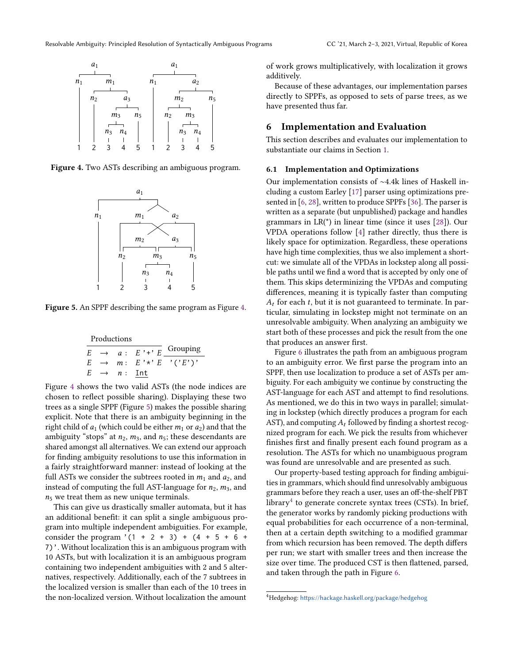<span id="page-6-1"></span>

<span id="page-6-2"></span>Figure 4. Two ASTs describing an ambiguous program.



Figure 5. An SPPF describing the same program as Figure [4.](#page-6-1)

|  | Productions             |                                                |
|--|-------------------------|------------------------------------------------|
|  |                         | $E \rightarrow a : E' + \overline{E}$ Grouping |
|  |                         | $E \rightarrow m: E' * E' (E')'$               |
|  | $E \rightarrow n$ : Int |                                                |
|  |                         |                                                |

Figure [4](#page-6-1) shows the two valid ASTs (the node indices are chosen to reflect possible sharing). Displaying these two trees as a single SPPF (Figure [5\)](#page-6-2) makes the possible sharing explicit. Note that there is an ambiguity beginning in the right child of  $a_1$  (which could be either  $m_1$  or  $a_2$ ) and that the ambiguity "stops" at  $n_2$ ,  $m_3$ , and  $n_5$ ; these descendants are shared amongst all alternatives. We can extend our approach for finding ambiguity resolutions to use this information in a fairly straightforward manner: instead of looking at the full ASTs we consider the subtrees rooted in  $m_1$  and  $a_2$ , and instead of computing the full AST-language for  $n_2$ ,  $m_3$ , and  $n_5$  we treat them as new unique terminals.

This can give us drastically smaller automata, but it has an additional benefit: it can split a single ambiguous program into multiple independent ambiguities. For example, consider the program  $(1 + 2 + 3) + (4 + 5 + 6 +$ 7)'. Without localization this is an ambiguous program with 10 ASTs, but with localization it is an ambiguous program containing two independent ambiguities with 2 and 5 alternatives, respectively. Additionally, each of the 7 subtrees in the localized version is smaller than each of the 10 trees in the non-localized version. Without localization the amount

of work grows multiplicatively, with localization it grows additively.

Because of these advantages, our implementation parses directly to SPPFs, as opposed to sets of parse trees, as we have presented thus far.

#### <span id="page-6-0"></span>6 Implementation and Evaluation

This section describes and evaluates our implementation to substantiate our claims in Section [1.](#page-0-0)

#### 6.1 Implementation and Optimizations

Our implementation consists of ∼4.4k lines of Haskell including a custom Earley [\[17\]](#page-10-20) parser using optimizations presented in [\[6,](#page-10-21) [28\]](#page-10-22), written to produce SPPFs [\[36\]](#page-11-6). The parser is written as a separate (but unpublished) package and handles grammars in LR(\*) in linear time (since it uses [\[28\]](#page-10-22)). Our VPDA operations follow [\[4\]](#page-10-15) rather directly, thus there is likely space for optimization. Regardless, these operations have high time complexities, thus we also implement a shortcut: we simulate all of the VPDAs in lockstep along all possible paths until we find a word that is accepted by only one of them. This skips determinizing the VPDAs and computing differences, meaning it is typically faster than computing  $A_t$  for each t, but it is not guaranteed to terminate. In particular, simulating in lockstep might not terminate on an unresolvable ambiguity. When analyzing an ambiguity we start both of these processes and pick the result from the one that produces an answer first.

Figure [6](#page-7-2) illustrates the path from an ambiguous program to an ambiguity error. We first parse the program into an SPPF, then use localization to produce a set of ASTs per ambiguity. For each ambiguity we continue by constructing the AST-language for each AST and attempt to find resolutions. As mentioned, we do this in two ways in parallel; simulating in lockstep (which directly produces a program for each AST), and computing  $A_t$  followed by finding a shortest recognized program for each. We pick the results from whichever finishes first and finally present each found program as a resolution. The ASTs for which no unambiguous program was found are unresolvable and are presented as such.

Our property-based testing approach for finding ambiguities in grammars, which should find unresolvably ambiguous grammars before they reach a user, uses an off-the-shelf PBT library $4$  to generate concrete syntax trees (CSTs). In brief, the generator works by randomly picking productions with equal probabilities for each occurrence of a non-terminal, then at a certain depth switching to a modified grammar from which recursion has been removed. The depth differs per run; we start with smaller trees and then increase the size over time. The produced CST is then flattened, parsed, and taken through the path in Figure [6.](#page-7-2)

<span id="page-6-3"></span><sup>4</sup>Hedgehog: <https://hackage.haskell.org/package/hedgehog>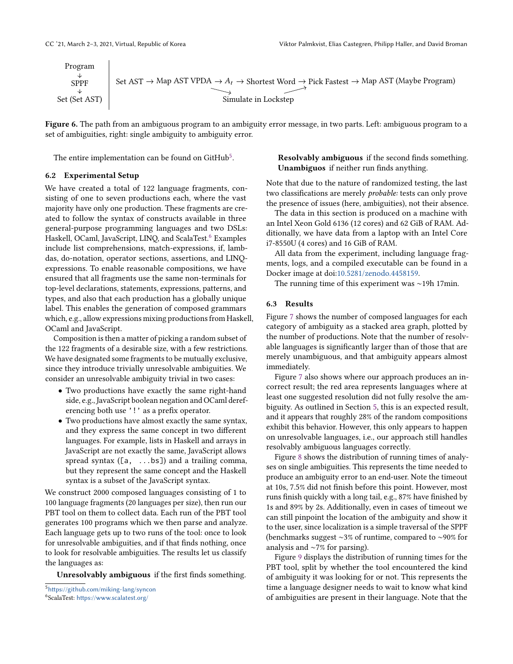<span id="page-7-2"></span>

Figure 6. The path from an ambiguous program to an ambiguity error message, in two parts. Left: ambiguous program to a set of ambiguities, right: single ambiguity to ambiguity error.

The entire implementation can be found on GitHub<sup>[5](#page-7-3)</sup>.

#### <span id="page-7-0"></span>6.2 Experimental Setup

We have created a total of 122 language fragments, consisting of one to seven productions each, where the vast majority have only one production. These fragments are created to follow the syntax of constructs available in three general-purpose programming languages and two DSLs: Haskell, OCaml, JavaScript, LINQ, and ScalaTest.<sup>[6](#page-7-4)</sup> Examples include list comprehensions, match-expressions, if, lambdas, do-notation, operator sections, assertions, and LINQexpressions. To enable reasonable compositions, we have ensured that all fragments use the same non-terminals for top-level declarations, statements, expressions, patterns, and types, and also that each production has a globally unique label. This enables the generation of composed grammars which, e.g., allow expressions mixing productions from Haskell, OCaml and JavaScript.

Composition is then a matter of picking a random subset of the 122 fragments of a desirable size, with a few restrictions. We have designated some fragments to be mutually exclusive, since they introduce trivially unresolvable ambiguities. We consider an unresolvable ambiguity trivial in two cases:

- Two productions have exactly the same right-hand side, e.g., JavaScript boolean negation and OCaml dereferencing both use '!' as a prefix operator.
- Two productions have almost exactly the same syntax, and they express the same concept in two different languages. For example, lists in Haskell and arrays in JavaScript are not exactly the same, JavaScript allows spread syntax ([a, ...bs]) and a trailing comma, but they represent the same concept and the Haskell syntax is a subset of the JavaScript syntax.

We construct 2000 composed languages consisting of 1 to 100 language fragments (20 languages per size), then run our PBT tool on them to collect data. Each run of the PBT tool generates 100 programs which we then parse and analyze. Each language gets up to two runs of the tool: once to look for unresolvable ambiguities, and if that finds nothing, once to look for resolvable ambiguities. The results let us classify the languages as:

Unresolvably ambiguous if the first finds something.

Resolvably ambiguous if the second finds something. Unambiguos if neither run finds anything.

Note that due to the nature of randomized testing, the last two classifications are merely *probable:* tests can only prove the presence of issues (here, ambiguities), not their absence.

The data in this section is produced on a machine with an Intel Xeon Gold 6136 (12 cores) and 62 GiB of RAM. Additionally, we have data from a laptop with an Intel Core i7-8550U (4 cores) and 16 GiB of RAM.

All data from the experiment, including language fragments, logs, and a compiled executable can be found in a Docker image at doi[:10.5281/zenodo.4458159.](https://doi.org/10.5281/zenodo.4458159)

The running time of this experiment was ∼19h 17min.

#### <span id="page-7-1"></span>6.3 Results

Figure [7](#page-8-1) shows the number of composed languages for each category of ambiguity as a stacked area graph, plotted by the number of productions. Note that the number of resolvable languages is significantly larger than of those that are merely unambiguous, and that ambiguity appears almost immediately.

Figure [7](#page-8-1) also shows where our approach produces an incorrect result; the red area represents languages where at least one suggested resolution did not fully resolve the ambiguity. As outlined in Section [5,](#page-5-0) this is an expected result, and it appears that roughly 28% of the random compositions exhibit this behavior. However, this only appears to happen on unresolvable languages, i.e., our approach still handles resolvably ambiguous languages correctly.

Figure [8](#page-8-1) shows the distribution of running times of analyses on single ambiguities. This represents the time needed to produce an ambiguity error to an end-user. Note the timeout at 10s, 7.5% did not finish before this point. However, most runs finish quickly with a long tail, e.g., 87% have finished by 1s and 89% by 2s. Additionally, even in cases of timeout we can still pinpoint the location of the ambiguity and show it to the user, since localization is a simple traversal of the SPPF (benchmarks suggest ∼3% of runtime, compared to ∼90% for analysis and ∼7% for parsing).

Figure [9](#page-8-1) displays the distribution of running times for the PBT tool, split by whether the tool encountered the kind of ambiguity it was looking for or not. This represents the time a language designer needs to wait to know what kind of ambiguities are present in their language. Note that the

<span id="page-7-3"></span><sup>5</sup><https://github.com/miking-lang/syncon>

<span id="page-7-4"></span><sup>6</sup>ScalaTest: <https://www.scalatest.org/>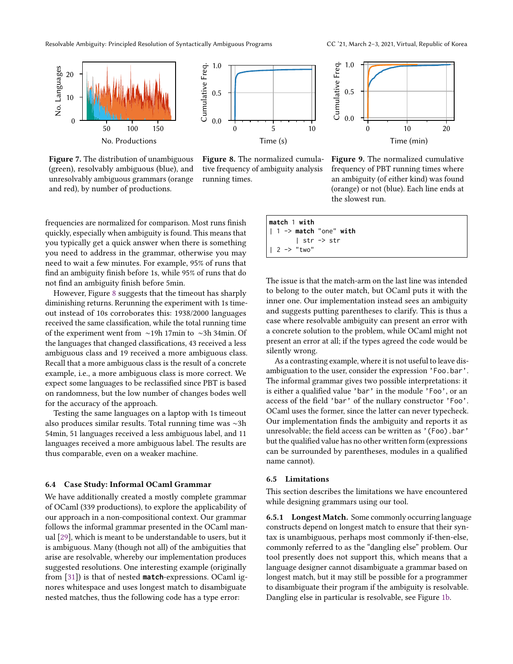Resolvable Ambiguity: Principled Resolution of Syntactically Ambiguous Programs CC '21, March 2-3, 2021, Virtual, Republic of Korea

<span id="page-8-1"></span>

Figure 7. The distribution of unambiguous (green), resolvably ambiguous (blue), and unresolvably ambiguous grammars (orange and red), by number of productions.



Figure 8. The normalized cumulative frequency of ambiguity analysis running times.



Figure 9. The normalized cumulative frequency of PBT running times where an ambiguity (of either kind) was found (orange) or not (blue). Each line ends at the slowest run.

frequencies are normalized for comparison. Most runs finish quickly, especially when ambiguity is found. This means that you typically get a quick answer when there is something you need to address in the grammar, otherwise you may need to wait a few minutes. For example, 95% of runs that find an ambiguity finish before 1s, while 95% of runs that do not find an ambiguity finish before 5min.

However, Figure [8](#page-8-1) suggests that the timeout has sharply diminishing returns. Rerunning the experiment with 1s timeout instead of 10s corroborates this: 1938/2000 languages received the same classification, while the total running time of the experiment went from ∼19h 17min to ∼3h 34min. Of the languages that changed classifications, 43 received a less ambiguous class and 19 received a more ambiguous class. Recall that a more ambiguous class is the result of a concrete example, i.e., a more ambiguous class is more correct. We expect some languages to be reclassified since PBT is based on randomness, but the low number of changes bodes well for the accuracy of the approach.

Testing the same languages on a laptop with 1s timeout also produces similar results. Total running time was ∼3h 54min, 51 languages received a less ambiguous label, and 11 languages received a more ambiguous label. The results are thus comparable, even on a weaker machine.

#### 6.4 Case Study: Informal OCaml Grammar

We have additionally created a mostly complete grammar of OCaml (339 productions), to explore the applicability of our approach in a non-compositional context. Our grammar follows the informal grammar presented in the OCaml manual [\[29\]](#page-10-23), which is meant to be understandable to users, but it is ambiguous. Many (though not all) of the ambiguities that arise are resolvable, whereby our implementation produces suggested resolutions. One interesting example (originally from [\[31\]](#page-10-3)) is that of nested **match**-expressions. OCaml ignores whitespace and uses longest match to disambiguate nested matches, thus the following code has a type error:

|  | match 1 with                  |  |
|--|-------------------------------|--|
|  | $\vert$ 1 -> match "one" with |  |
|  | ∣str -> str                   |  |
|  | 2 -> "two"                    |  |

The issue is that the match-arm on the last line was intended to belong to the outer match, but OCaml puts it with the inner one. Our implementation instead sees an ambiguity and suggests putting parentheses to clarify. This is thus a case where resolvable ambiguity can present an error with a concrete solution to the problem, while OCaml might not present an error at all; if the types agreed the code would be silently wrong.

As a contrasting example, where it is not useful to leave disambiguation to the user, consider the expression 'Foo.bar'. The informal grammar gives two possible interpretations: it is either a qualified value 'bar' in the module 'Foo', or an access of the field 'bar' of the nullary constructor 'Foo'. OCaml uses the former, since the latter can never typecheck. Our implementation finds the ambiguity and reports it as unresolvable; the field access can be written as '(Foo).bar' but the qualified value has no other written form (expressions can be surrounded by parentheses, modules in a qualified name cannot).

#### <span id="page-8-0"></span>6.5 Limitations

This section describes the limitations we have encountered while designing grammars using our tool.

6.5.1 Longest Match. Some commonly occurring language constructs depend on longest match to ensure that their syntax is unambiguous, perhaps most commonly if-then-else, commonly referred to as the "dangling else" problem. Our tool presently does not support this, which means that a language designer cannot disambiguate a grammar based on longest match, but it may still be possible for a programmer to disambiguate their program if the ambiguity is resolvable. Dangling else in particular is resolvable, see Figure [1b.](#page-2-1)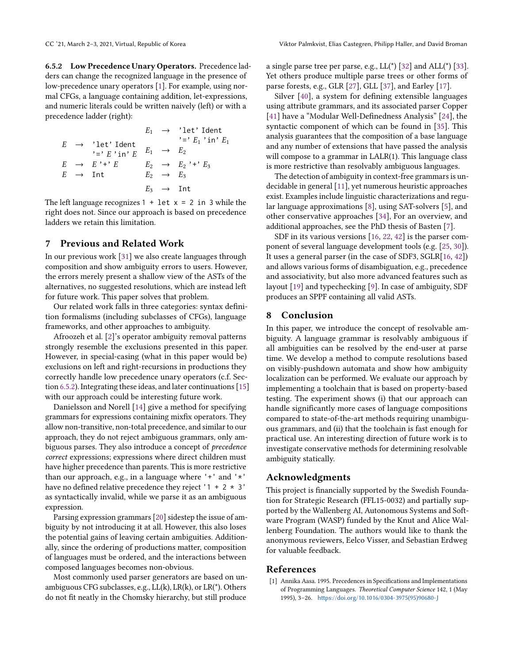<span id="page-9-0"></span>6.5.2 Low Precedence Unary Operators. Precedence ladders can change the recognized language in the presence of low-precedence unary operators [\[1\]](#page-9-1). For example, using normal CFGs, a language containing addition, let-expressions, and numeric literals could be written naively (left) or with a precedence ladder (right):

$$
E_1 \rightarrow 'let' Ident
$$
\n
$$
E \rightarrow 'let' Ident
$$
\n
$$
'='E' in' E
$$
\n
$$
E \rightarrow E''*E
$$
\n
$$
E_2 \rightarrow E_3
$$
\n
$$
E_3 \rightarrow Int
$$
\n
$$
E_4 \rightarrow E_4
$$
\n
$$
E_5 \rightarrow E_5
$$
\n
$$
E_6 \rightarrow Int
$$
\n
$$
E_7 \rightarrow E_8
$$
\n
$$
E_8 \rightarrow Int
$$
\n
$$
E_9 \rightarrow Int
$$

The left language recognizes  $1 + \text{let } x = 2 \text{ in } 3 \text{ while the}$ right does not. Since our approach is based on precedence ladders we retain this limitation.

#### 7 Previous and Related Work

In our previous work [\[31\]](#page-10-3) we also create languages through composition and show ambiguity errors to users. However, the errors merely present a shallow view of the ASTs of the alternatives, no suggested resolutions, which are instead left for future work. This paper solves that problem.

Our related work falls in three categories: syntax definition formalisms (including subclasses of CFGs), language frameworks, and other approaches to ambiguity.

Afroozeh et al. [\[2\]](#page-10-18)'s operator ambiguity removal patterns strongly resemble the exclusions presented in this paper. However, in special-casing (what in this paper would be) exclusions on left and right-recursions in productions they correctly handle low precedence unary operators (c.f. Section [6.5.2\)](#page-9-0). Integrating these ideas, and later continuations [\[15\]](#page-10-24) with our approach could be interesting future work.

Danielsson and Norell [\[14\]](#page-10-12) give a method for specifying grammars for expressions containing mixfix operators. They allow non-transitive, non-total precedence, and similar to our approach, they do not reject ambiguous grammars, only ambiguous parses. They also introduce a concept of precedence correct expressions; expressions where direct children must have higher precedence than parents. This is more restrictive than our approach, e.g., in a language where  $'$ +' and ' $*$ ' have no defined relative precedence they reject '1 + 2  $\star$  3' as syntactically invalid, while we parse it as an ambiguous expression.

Parsing expression grammars [\[20\]](#page-10-25) sidestep the issue of ambiguity by not introducing it at all. However, this also loses the potential gains of leaving certain ambiguities. Additionally, since the ordering of productions matter, composition of languages must be ordered, and the interactions between composed languages becomes non-obvious.

Most commonly used parser generators are based on unambiguous CFG subclasses, e.g., LL(k), LR(k), or LR(\*). Others do not fit neatly in the Chomsky hierarchy, but still produce

a single parse tree per parse, e.g.,  $LL({}^*)$  [\[32\]](#page-10-26) and  $ALL({}^*)$  [\[33\]](#page-11-7). Yet others produce multiple parse trees or other forms of parse forests, e.g., GLR [\[27\]](#page-10-27), GLL [\[37\]](#page-11-8), and Earley [\[17\]](#page-10-20).

Silver [\[40\]](#page-11-1), a system for defining extensible languages using attribute grammars, and its associated parser Copper [\[41\]](#page-11-9) have a "Modular Well-Definedness Analysis" [\[24\]](#page-10-8), the syntactic component of which can be found in [\[35\]](#page-11-10). This analysis guarantees that the composition of a base language and any number of extensions that have passed the analysis will compose to a grammar in LALR(1). This language class is more restrictive than resolvably ambiguous languages.

The detection of ambiguity in context-free grammars is undecidable in general [\[11\]](#page-10-4), yet numerous heuristic approaches exist. Examples include linguistic characterizations and regular language approximations [\[8\]](#page-10-7), using SAT-solvers [\[5\]](#page-10-5), and other conservative approaches [\[34\]](#page-11-11), For an overview, and additional approaches, see the PhD thesis of Basten [\[7\]](#page-10-6).

SDF in its various versions [\[16,](#page-10-13) [22,](#page-10-17) [42\]](#page-11-4) is the parser component of several language development tools (e.g. [\[25,](#page-10-28) [30\]](#page-10-2)). It uses a general parser (in the case of SDF3, SGLR[\[16,](#page-10-13) [42\]](#page-11-4)) and allows various forms of disambiguation, e.g., precedence and associativity, but also more advanced features such as layout [\[19\]](#page-10-29) and typechecking [\[9\]](#page-10-30). In case of ambiguity, SDF produces an SPPF containing all valid ASTs.

#### 8 Conclusion

In this paper, we introduce the concept of resolvable ambiguity. A language grammar is resolvably ambiguous if all ambiguities can be resolved by the end-user at parse time. We develop a method to compute resolutions based on visibly-pushdown automata and show how ambiguity localization can be performed. We evaluate our approach by implementing a toolchain that is based on property-based testing. The experiment shows (i) that our approach can handle significantly more cases of language compositions compared to state-of-the-art methods requiring unambiguous grammars, and (ii) that the toolchain is fast enough for practical use. An interesting direction of future work is to investigate conservative methods for determining resolvable ambiguity statically.

#### Acknowledgments

This project is financially supported by the Swedish Foundation for Strategic Research (FFL15-0032) and partially supported by the Wallenberg AI, Autonomous Systems and Software Program (WASP) funded by the Knut and Alice Wallenberg Foundation. The authors would like to thank the anonymous reviewers, Eelco Visser, and Sebastian Erdweg for valuable feedback.

#### References

<span id="page-9-1"></span>[1] Annika Aasa. 1995. Precedences in Specifications and Implementations of Programming Languages. Theoretical Computer Science 142, 1 (May 1995), 3–26. [https://doi.org/10.1016/0304-3975\(95\)90680-J](https://doi.org/10.1016/0304-3975(95)90680-J)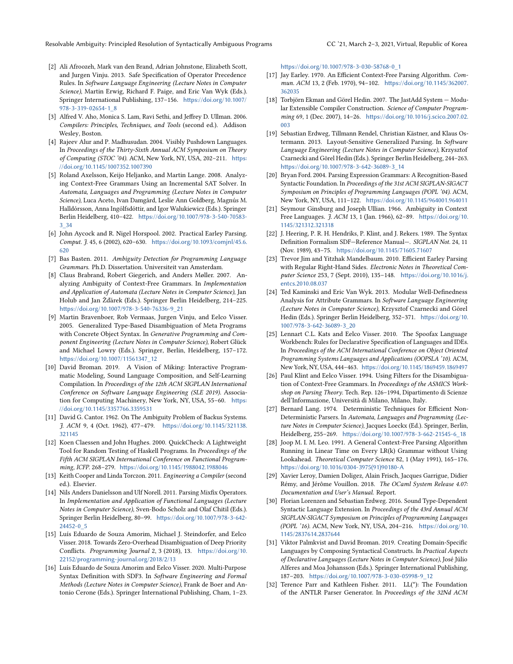- <span id="page-10-18"></span>[2] Ali Afroozeh, Mark van den Brand, Adrian Johnstone, Elizabeth Scott, and Jurgen Vinju. 2013. Safe Specification of Operator Precedence Rules. In Software Language Engineering (Lecture Notes in Computer Science), Martin Erwig, Richard F. Paige, and Eric Van Wyk (Eds.). Springer International Publishing, 137–156. [https://doi.org/10.1007/](https://doi.org/10.1007/978-3-319-02654-1_8) [978-3-319-02654-1\\_8](https://doi.org/10.1007/978-3-319-02654-1_8)
- <span id="page-10-9"></span>[3] Alfred V. Aho, Monica S. Lam, Ravi Sethi, and Jeffrey D. Ullman. 2006. Compilers: Principles, Techniques, and Tools (second ed.). Addison Wesley, Boston.
- <span id="page-10-15"></span>[4] Rajeev Alur and P. Madhusudan. 2004. Visibly Pushdown Languages. In Proceedings of the Thirty-Sixth Annual ACM Symposium on Theory of Computing (STOC '04). ACM, New York, NY, USA, 202–211. [https:](https://doi.org/10.1145/1007352.1007390) [//doi.org/10.1145/1007352.1007390](https://doi.org/10.1145/1007352.1007390)
- <span id="page-10-5"></span>[5] Roland Axelsson, Keijo Heljanko, and Martin Lange. 2008. Analyzing Context-Free Grammars Using an Incremental SAT Solver. In Automata, Languages and Programming (Lecture Notes in Computer Science), Luca Aceto, Ivan Damgård, Leslie Ann Goldberg, Magnús M. Halldórsson, Anna Ingólfsdóttir, and Igor Walukiewicz (Eds.). Springer Berlin Heidelberg, 410–422. [https://doi.org/10.1007/978-3-540-70583-](https://doi.org/10.1007/978-3-540-70583-3_34) [3\\_34](https://doi.org/10.1007/978-3-540-70583-3_34)
- <span id="page-10-21"></span>[6] John Aycock and R. Nigel Horspool. 2002. Practical Earley Parsing. Comput. J. 45, 6 (2002), 620–630. [https://doi.org/10.1093/comjnl/45.6.](https://doi.org/10.1093/comjnl/45.6.620) [620](https://doi.org/10.1093/comjnl/45.6.620)
- <span id="page-10-6"></span>[7] Bas Basten. 2011. Ambiguity Detection for Programming Language Grammars. Ph.D. Dissertation. Universiteit van Amsterdam.
- <span id="page-10-7"></span>[8] Claus Brabrand, Robert Giegerich, and Anders Møller. 2007. Analyzing Ambiguity of Context-Free Grammars. In Implementation and Application of Automata (Lecture Notes in Computer Science), Jan Holub and Jan Žďárek (Eds.). Springer Berlin Heidelberg, 214–225. [https://doi.org/10.1007/978-3-540-76336-9\\_21](https://doi.org/10.1007/978-3-540-76336-9_21)
- <span id="page-10-30"></span>[9] Martin Bravenboer, Rob Vermaas, Jurgen Vinju, and Eelco Visser. 2005. Generalized Type-Based Disambiguation of Meta Programs with Concrete Object Syntax. In Generative Programming and Component Engineering (Lecture Notes in Computer Science), Robert Glück and Michael Lowry (Eds.). Springer, Berlin, Heidelberg, 157–172. [https://doi.org/10.1007/11561347\\_12](https://doi.org/10.1007/11561347_12)
- <span id="page-10-0"></span>[10] David Broman. 2019. A Vision of Miking: Interactive Programmatic Modeling, Sound Language Composition, and Self-Learning Compilation. In Proceedings of the 12th ACM SIGPLAN International Conference on Software Language Engineering (SLE 2019). Association for Computing Machinery, New York, NY, USA, 55–60. [https:](https://doi.org/10.1145/3357766.3359531) [//doi.org/10.1145/3357766.3359531](https://doi.org/10.1145/3357766.3359531)
- <span id="page-10-4"></span>[11] David G. Cantor. 1962. On The Ambiguity Problem of Backus Systems. J. ACM 9, 4 (Oct. 1962), 477–479. [https://doi.org/10.1145/321138.](https://doi.org/10.1145/321138.321145) [321145](https://doi.org/10.1145/321138.321145)
- <span id="page-10-14"></span>[12] Koen Claessen and John Hughes. 2000. QuickCheck: A Lightweight Tool for Random Testing of Haskell Programs. In Proceedings of the Fifth ACM SIGPLAN International Conference on Functional Programming, ICFP. 268–279. <https://doi.org/10.1145/1988042.1988046>
- <span id="page-10-10"></span>[13] Keith Cooper and Linda Torczon. 2011. Engineering a Compiler (second ed.). Elsevier.
- <span id="page-10-12"></span>[14] Nils Anders Danielsson and Ulf Norell. 2011. Parsing Mixfix Operators. In Implementation and Application of Functional Languages (Lecture Notes in Computer Science), Sven-Bodo Scholz and Olaf Chitil (Eds.). Springer Berlin Heidelberg, 80–99. [https://doi.org/10.1007/978-3-642-](https://doi.org/10.1007/978-3-642-24452-0_5) [24452-0\\_5](https://doi.org/10.1007/978-3-642-24452-0_5)
- <span id="page-10-24"></span>[15] Luís Eduardo de Souza Amorim, Michael J. Steindorfer, and Eelco Visser. 2018. Towards Zero-Overhead Disambiguation of Deep Priority Conflicts. Programming Journal 2, 3 (2018), 13. [https://doi.org/10.](https://doi.org/10.22152/programming-journal.org/2018/2/13) [22152/programming-journal.org/2018/2/13](https://doi.org/10.22152/programming-journal.org/2018/2/13)
- <span id="page-10-13"></span>[16] Luís Eduardo de Souza Amorim and Eelco Visser. 2020. Multi-Purpose Syntax Definition with SDF3. In Software Engineering and Formal Methods (Lecture Notes in Computer Science), Frank de Boer and Antonio Cerone (Eds.). Springer International Publishing, Cham, 1–23.

#### [https://doi.org/10.1007/978-3-030-58768-0\\_1](https://doi.org/10.1007/978-3-030-58768-0_1)

- <span id="page-10-20"></span>[17] Jay Earley. 1970. An Efficient Context-Free Parsing Algorithm. Commun. ACM 13, 2 (Feb. 1970), 94–102. [https://doi.org/10.1145/362007.](https://doi.org/10.1145/362007.362035) [362035](https://doi.org/10.1145/362007.362035)
- <span id="page-10-1"></span>[18] Torbjörn Ekman and Görel Hedin. 2007. The JastAdd System — Modular Extensible Compiler Construction. Science of Computer Programming 69, 1 (Dec. 2007), 14–26. [https://doi.org/10.1016/j.scico.2007.02.](https://doi.org/10.1016/j.scico.2007.02.003) [003](https://doi.org/10.1016/j.scico.2007.02.003)
- <span id="page-10-29"></span>[19] Sebastian Erdweg, Tillmann Rendel, Christian Kästner, and Klaus Ostermann. 2013. Layout-Sensitive Generalized Parsing. In Software Language Engineering (Lecture Notes in Computer Science), Krzysztof Czarnecki and Görel Hedin (Eds.). Springer Berlin Heidelberg, 244–263. [https://doi.org/10.1007/978-3-642-36089-3\\_14](https://doi.org/10.1007/978-3-642-36089-3_14)
- <span id="page-10-25"></span>[20] Bryan Ford. 2004. Parsing Expression Grammars: A Recognition-Based Syntactic Foundation. In Proceedings of the 31st ACM SIGPLAN-SIGACT Symposium on Principles of Programming Languages (POPL '04). ACM, New York, NY, USA, 111–122. <https://doi.org/10.1145/964001.964011>
- <span id="page-10-11"></span>[21] Seymour Ginsburg and Joseph Ullian. 1966. Ambiguity in Context Free Languages. J. ACM 13, 1 (Jan. 1966), 62–89. [https://doi.org/10.](https://doi.org/10.1145/321312.321318) [1145/321312.321318](https://doi.org/10.1145/321312.321318)
- <span id="page-10-17"></span>[22] J. Heering, P. R. H. Hendriks, P. Klint, and J. Rekers. 1989. The Syntax Definition Formalism SDF—Reference Manual—. SIGPLAN Not. 24, 11 (Nov. 1989), 43–75. <https://doi.org/10.1145/71605.71607>
- <span id="page-10-16"></span>[23] Trevor Jim and Yitzhak Mandelbaum. 2010. Efficient Earley Parsing with Regular Right-Hand Sides. Electronic Notes in Theoretical Computer Science 253, 7 (Sept. 2010), 135–148. [https://doi.org/10.1016/j.](https://doi.org/10.1016/j.entcs.2010.08.037) [entcs.2010.08.037](https://doi.org/10.1016/j.entcs.2010.08.037)
- <span id="page-10-8"></span>[24] Ted Kaminski and Eric Van Wyk. 2013. Modular Well-Definedness Analysis for Attribute Grammars. In Software Language Engineering (Lecture Notes in Computer Science), Krzysztof Czarnecki and Görel Hedin (Eds.). Springer Berlin Heidelberg, 352–371. [https://doi.org/10.](https://doi.org/10.1007/978-3-642-36089-3_20) [1007/978-3-642-36089-3\\_20](https://doi.org/10.1007/978-3-642-36089-3_20)
- <span id="page-10-28"></span>[25] Lennart C.L. Kats and Eelco Visser. 2010. The Spoofax Language Workbench: Rules for Declarative Specification of Languages and IDEs. In Proceedings of the ACM International Conference on Object Oriented Programming Systems Languages and Applications (OOPSLA '10). ACM, New York, NY, USA, 444–463. <https://doi.org/10.1145/1869459.1869497>
- <span id="page-10-19"></span>[26] Paul Klint and Eelco Visser. 1994. Using Filters for the Disambiguation of Context-Free Grammars. In Proceedings of the ASMICS Workshop on Parsing Theory. Tech. Rep. 126–1994, Dipartimento di Scienze dell'Informazione, Università di Milano, Milano, Italy.
- <span id="page-10-27"></span>[27] Bernard Lang. 1974. Deterministic Techniques for Efficient Non-Deterministic Parsers. In Automata, Languages and Programming (Lecture Notes in Computer Science), Jacques Loeckx (Ed.). Springer, Berlin, Heidelberg, 255–269. [https://doi.org/10.1007/978-3-662-21545-6\\_18](https://doi.org/10.1007/978-3-662-21545-6_18)
- <span id="page-10-22"></span>[28] Joop M. I. M. Leo. 1991. A General Context-Free Parsing Algorithm Running in Linear Time on Every LR(k) Grammar without Using Lookahead. Theoretical Computer Science 82, 1 (May 1991), 165–176. [https://doi.org/10.1016/0304-3975\(91\)90180-A](https://doi.org/10.1016/0304-3975(91)90180-A)
- <span id="page-10-23"></span>[29] Xavier Leroy, Damien Doligez, Alain Frisch, Jacques Garrigue, Didier Rémy, and Jérôme Vouillon. 2018. The OCaml System Release 4.07: Documentation and User's Manual. Report.
- <span id="page-10-2"></span>[30] Florian Lorenzen and Sebastian Erdweg. 2016. Sound Type-Dependent Syntactic Language Extension. In Proceedings of the 43rd Annual ACM SIGPLAN-SIGACT Symposium on Principles of Programming Languages (POPL '16). ACM, New York, NY, USA, 204–216. [https://doi.org/10.](https://doi.org/10.1145/2837614.2837644) [1145/2837614.2837644](https://doi.org/10.1145/2837614.2837644)
- <span id="page-10-3"></span>[31] Viktor Palmkvist and David Broman. 2019. Creating Domain-Specific Languages by Composing Syntactical Constructs. In Practical Aspects of Declarative Languages (Lecture Notes in Computer Science), José Júlio Alferes and Moa Johansson (Eds.). Springer International Publishing, 187–203. [https://doi.org/10.1007/978-3-030-05998-9\\_12](https://doi.org/10.1007/978-3-030-05998-9_12)
- <span id="page-10-26"></span>[32] Terence Parr and Kathleen Fisher. 2011. LL(\*): The Foundation of the ANTLR Parser Generator. In Proceedings of the 32Nd ACM